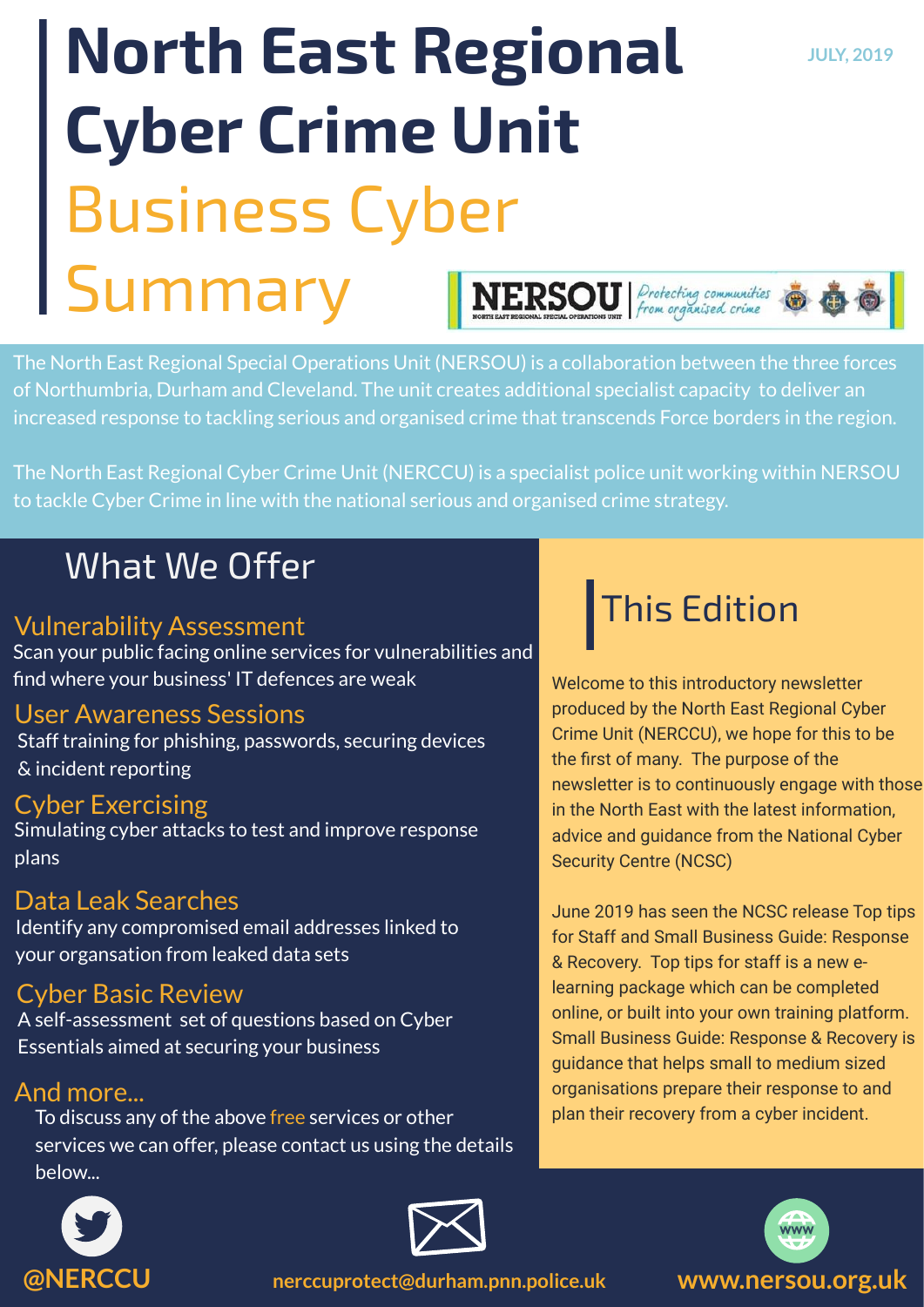# **North East Regional JULY, 2019 Cyber Crime Unit** Business Cyber Summary

**NERSOU** Protecting communities

The North East Regional Special Operations Unit (NERSOU) is a collaboration between the three forces of Northumbria, Durham and Cleveland. The unit creates additional specialist capacity to deliver an increased response to tackling serious and organised crime that transcends Force borders in the region.

The North East Regional Cyber Crime Unit (NERCCU) is a specialist police unit working within NERSOU to tackle Cyber Crime in line with the national serious and organised crime strategy.

## What We Offer

## Vulnerability Assessment

Scan your public facing online services for vulnerabilities and find where your business' IT defences are weak

## User Awareness Sessions

Staff training for phishing, passwords, securing devices & incident reporting

## Cyber Exercising

Simulating cyber attacks to test and improve response plans

## Data Leak Searches

Identify any compromised email addresses linked to your organsation from leaked data sets

## Cyber Basic Review

A self-assessment set of questions based on Cyber Essentials aimed at securing your business

## And more...

To discuss any of the above free services or other services we can offer, please contact us using the details below...

## This Edition

Welcome to this introductory newsletter produced by the North East Regional Cyber Crime Unit (NERCCU), we hope for this to be the first of many. The purpose of the newsletter is to continuously engage with those in the North East with the latest information, advice and guidance from the National Cyber Security Centre (NCSC)

June 2019 has seen the NCSC release Top tips for Staff and Small Business Guide: Response & Recovery. Top tips for staff is a new elearning package which can be completed online, or built into your own training platform. Small Business Guide: Response & Recovery is guidance that helps small to medium sized organisations prepare their response to and plan their recovery from a cyber incident.







**@NERCCU nerccuprotect@durham.pnn.police.uk www.nersou.org.uk**